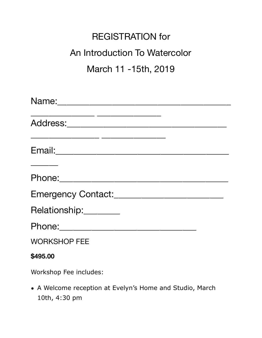## REGISTRATION for An Introduction To Watercolor March 11 -15th, 2019

| Relationship: _________                                                   |
|---------------------------------------------------------------------------|
|                                                                           |
| <b>WORKSHOP FEE</b>                                                       |
| \$495.00                                                                  |
| Workshop Fee includes:                                                    |
| • A Welcome reception at Evelyn's Home and Studio, March<br>10th, 4:30 pm |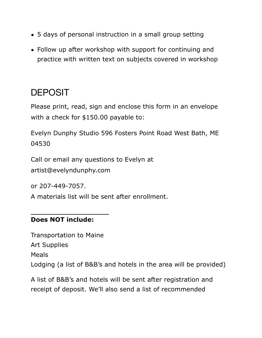- 5 days of personal instruction in a small group setting
- Follow up after workshop with support for continuing and practice with written text on subjects covered in workshop

## DEPOSIT

Please print, read, sign and enclose this form in an envelope with a check for \$150.00 payable to:

Evelyn Dunphy Studio 596 Fosters Point Road West Bath, ME 04530

Call or email any questions to Evelyn at artist@evelyndunphy.com

or 207-449-7057.

A materials list will be sent after enrollment.

## **Does NOT include:**

Transportation to Maine Art Supplies Meals Lodging (a list of B&B's and hotels in the area will be provided)

A list of B&B's and hotels will be sent after registration and receipt of deposit. We'll also send a list of recommended